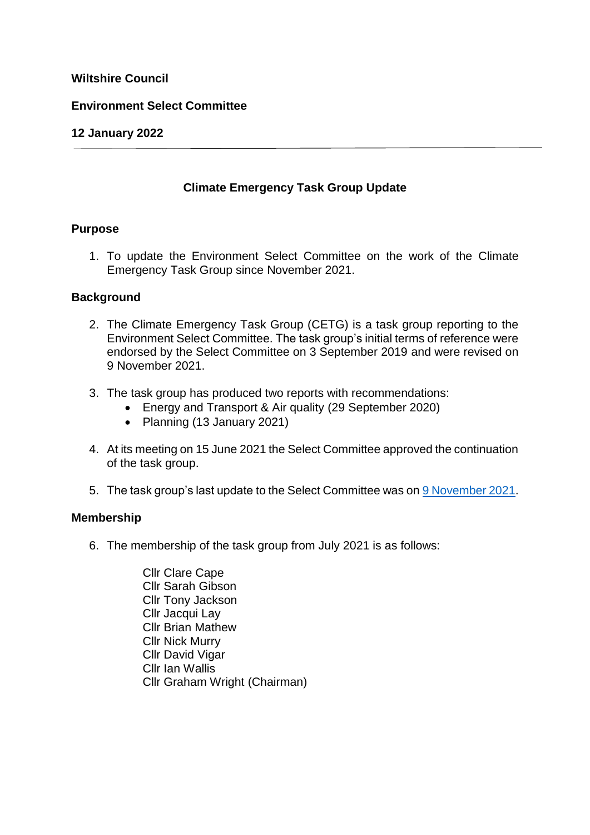# **Wiltshire Council**

### **Environment Select Committee**

### **12 January 2022**

# **Climate Emergency Task Group Update**

### **Purpose**

1. To update the Environment Select Committee on the work of the Climate Emergency Task Group since November 2021.

### **Background**

- 2. The Climate Emergency Task Group (CETG) is a task group reporting to the Environment Select Committee. The task group's initial terms of reference were endorsed by the Select Committee on 3 September 2019 and were revised on 9 November 2021.
- 3. The task group has produced two reports with recommendations:
	- Energy and Transport & Air quality (29 September 2020)
	- Planning (13 January 2021)
- 4. At its meeting on 15 June 2021 the Select Committee approved the continuation of the task group.
- 5. The task group's last update to the Select Committee was on [9 November 2021.](https://cms.wiltshire.gov.uk/ieListDocuments.aspx?CId=1125&MId=13787&Ver=4)

#### **Membership**

- 6. The membership of the task group from July 2021 is as follows:
	- Cllr Clare Cape Cllr Sarah Gibson Cllr Tony Jackson Cllr Jacqui Lay Cllr Brian Mathew Cllr Nick Murry Cllr David Vigar Cllr Ian Wallis Cllr Graham Wright (Chairman)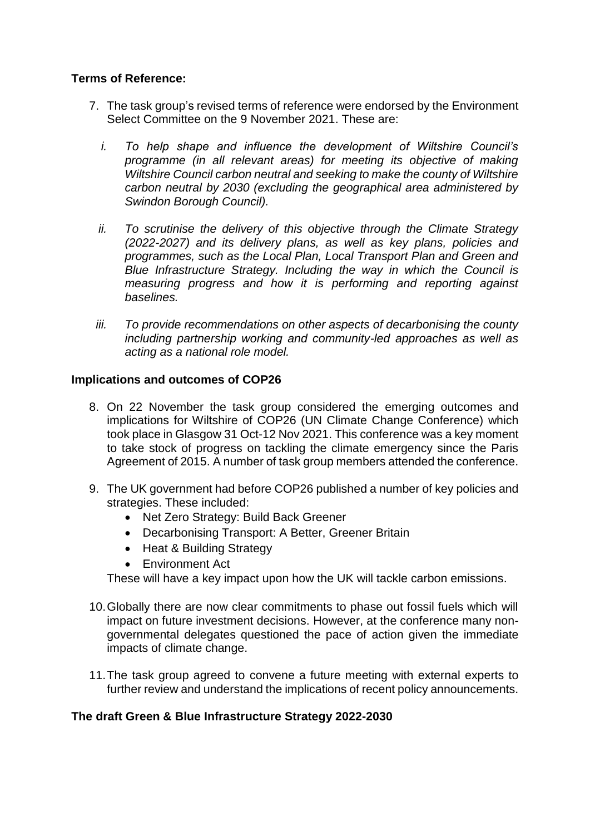# **Terms of Reference:**

- 7. The task group's revised terms of reference were endorsed by the Environment Select Committee on the 9 November 2021. These are:
	- *i. To help shape and influence the development of Wiltshire Council's programme (in all relevant areas) for meeting its objective of making Wiltshire Council carbon neutral and seeking to make the county of Wiltshire carbon neutral by 2030 (excluding the geographical area administered by Swindon Borough Council).*
	- *ii. To scrutinise the delivery of this objective through the Climate Strategy (2022-2027) and its delivery plans, as well as key plans, policies and programmes, such as the Local Plan, Local Transport Plan and Green and Blue Infrastructure Strategy. Including the way in which the Council is measuring progress and how it is performing and reporting against baselines.*
	- *iii. To provide recommendations on other aspects of decarbonising the county including partnership working and community-led approaches as well as acting as a national role model.*

# **Implications and outcomes of COP26**

- 8. On 22 November the task group considered the emerging outcomes and implications for Wiltshire of COP26 (UN Climate Change Conference) which took place in Glasgow 31 Oct-12 Nov 2021. This conference was a key moment to take stock of progress on tackling the climate emergency since the Paris Agreement of 2015. A number of task group members attended the conference.
- 9. The UK government had before COP26 published a number of key policies and strategies. These included:
	- Net Zero Strategy: Build Back Greener
	- Decarbonising Transport: A Better, Greener Britain
	- Heat & Building Strategy
	- Environment Act

These will have a key impact upon how the UK will tackle carbon emissions.

- 10.Globally there are now clear commitments to phase out fossil fuels which will impact on future investment decisions. However, at the conference many nongovernmental delegates questioned the pace of action given the immediate impacts of climate change.
- 11.The task group agreed to convene a future meeting with external experts to further review and understand the implications of recent policy announcements.

# **The draft Green & Blue Infrastructure Strategy 2022-2030**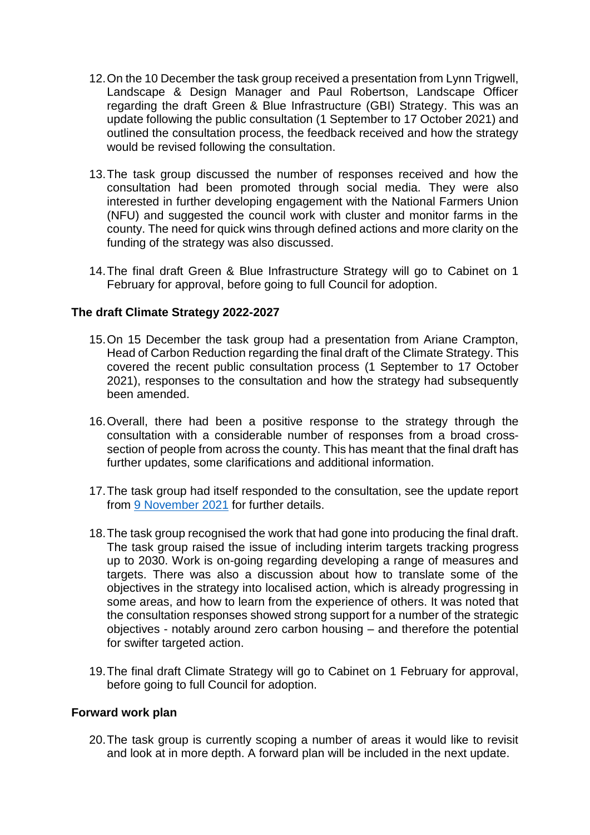- 12.On the 10 December the task group received a presentation from Lynn Trigwell, Landscape & Design Manager and Paul Robertson, Landscape Officer regarding the draft Green & Blue Infrastructure (GBI) Strategy. This was an update following the public consultation (1 September to 17 October 2021) and outlined the consultation process, the feedback received and how the strategy would be revised following the consultation.
- 13.The task group discussed the number of responses received and how the consultation had been promoted through social media. They were also interested in further developing engagement with the National Farmers Union (NFU) and suggested the council work with cluster and monitor farms in the county. The need for quick wins through defined actions and more clarity on the funding of the strategy was also discussed.
- 14.The final draft Green & Blue Infrastructure Strategy will go to Cabinet on 1 February for approval, before going to full Council for adoption.

# **The draft Climate Strategy 2022-2027**

- 15.On 15 December the task group had a presentation from Ariane Crampton, Head of Carbon Reduction regarding the final draft of the Climate Strategy. This covered the recent public consultation process (1 September to 17 October 2021), responses to the consultation and how the strategy had subsequently been amended.
- 16.Overall, there had been a positive response to the strategy through the consultation with a considerable number of responses from a broad crosssection of people from across the county. This has meant that the final draft has further updates, some clarifications and additional information.
- 17.The task group had itself responded to the consultation, see the update report from [9 November 2021](https://cms.wiltshire.gov.uk/ieListDocuments.aspx?CId=1125&MId=13787&Ver=4) for further details.
- 18.The task group recognised the work that had gone into producing the final draft. The task group raised the issue of including interim targets tracking progress up to 2030. Work is on-going regarding developing a range of measures and targets. There was also a discussion about how to translate some of the objectives in the strategy into localised action, which is already progressing in some areas, and how to learn from the experience of others. It was noted that the consultation responses showed strong support for a number of the strategic objectives - notably around zero carbon housing – and therefore the potential for swifter targeted action.
- 19.The final draft Climate Strategy will go to Cabinet on 1 February for approval, before going to full Council for adoption.

#### **Forward work plan**

20.The task group is currently scoping a number of areas it would like to revisit and look at in more depth. A forward plan will be included in the next update.